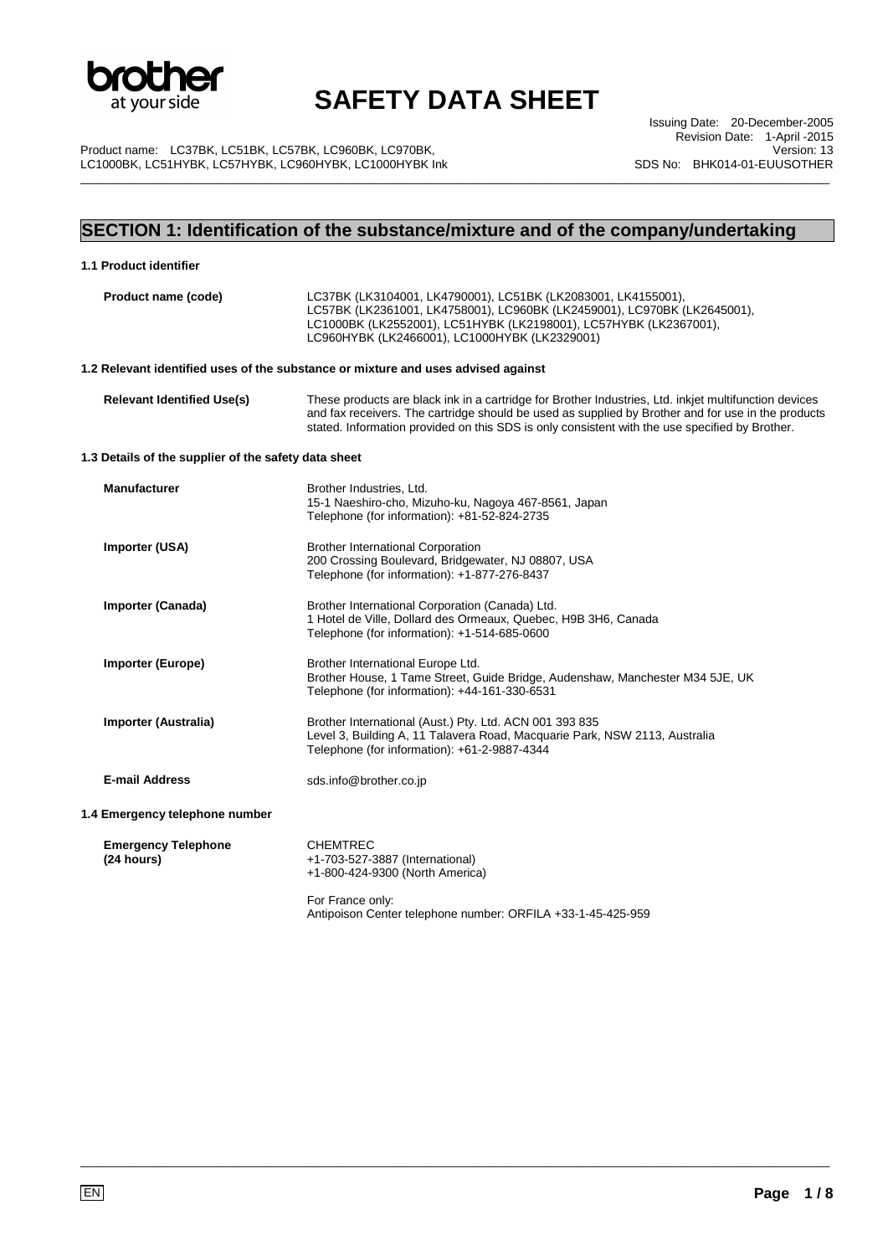

\_\_\_\_\_\_\_\_\_\_\_\_\_\_\_\_\_\_\_\_\_\_\_\_\_\_\_\_\_\_\_\_\_\_\_\_\_\_\_\_\_\_\_\_\_\_\_\_\_\_\_\_\_\_\_\_\_\_\_\_\_\_\_\_\_\_\_\_\_\_\_\_\_\_\_\_\_\_\_\_\_\_\_\_\_\_\_\_\_\_\_\_\_\_\_\_\_\_\_\_\_\_\_\_\_\_\_\_\_\_\_\_\_

Product name: LC37BK, LC51BK, LC57BK, LC960BK, LC970BK, LC1000BK, LC51HYBK, LC57HYBK, LC960HYBK, LC1000HYBK Ink

Issuing Date: 20-December-2005 Revision Date: 1-April -2015 Version: 13 SDS No: BHK014-01-EUUSOTHER

## **SECTION 1: Identification of the substance/mixture and of the company/undertaking**

| 1.1 Product identifier                               |                                                                                                                                                                                                                                                                                                               |
|------------------------------------------------------|---------------------------------------------------------------------------------------------------------------------------------------------------------------------------------------------------------------------------------------------------------------------------------------------------------------|
| Product name (code)                                  | LC37BK (LK3104001, LK4790001), LC51BK (LK2083001, LK4155001),<br>LC57BK (LK2361001, LK4758001), LC960BK (LK2459001), LC970BK (LK2645001),<br>LC1000BK (LK2552001), LC51HYBK (LK2198001), LC57HYBK (LK2367001),<br>LC960HYBK (LK2466001), LC1000HYBK (LK2329001)                                               |
|                                                      | 1.2 Relevant identified uses of the substance or mixture and uses advised against                                                                                                                                                                                                                             |
| <b>Relevant Identified Use(s)</b>                    | These products are black ink in a cartridge for Brother Industries, Ltd. inkjet multifunction devices<br>and fax receivers. The cartridge should be used as supplied by Brother and for use in the products<br>stated. Information provided on this SDS is only consistent with the use specified by Brother. |
| 1.3 Details of the supplier of the safety data sheet |                                                                                                                                                                                                                                                                                                               |
| <b>Manufacturer</b>                                  | Brother Industries, Ltd.<br>15-1 Naeshiro-cho, Mizuho-ku, Nagoya 467-8561, Japan<br>Telephone (for information): +81-52-824-2735                                                                                                                                                                              |
| Importer (USA)                                       | <b>Brother International Corporation</b><br>200 Crossing Boulevard, Bridgewater, NJ 08807, USA<br>Telephone (for information): +1-877-276-8437                                                                                                                                                                |
| Importer (Canada)                                    | Brother International Corporation (Canada) Ltd.<br>1 Hotel de Ville, Dollard des Ormeaux, Quebec, H9B 3H6, Canada<br>Telephone (for information): +1-514-685-0600                                                                                                                                             |
| <b>Importer (Europe)</b>                             | Brother International Europe Ltd.<br>Brother House, 1 Tame Street, Guide Bridge, Audenshaw, Manchester M34 5JE, UK<br>Telephone (for information): +44-161-330-6531                                                                                                                                           |
| <b>Importer (Australia)</b>                          | Brother International (Aust.) Pty. Ltd. ACN 001 393 835<br>Level 3, Building A, 11 Talavera Road, Macquarie Park, NSW 2113, Australia<br>Telephone (for information): +61-2-9887-4344                                                                                                                         |
| <b>E-mail Address</b>                                | sds.info@brother.co.jp                                                                                                                                                                                                                                                                                        |
| 1.4 Emergency telephone number                       |                                                                                                                                                                                                                                                                                                               |
| <b>Emergency Telephone</b><br>(24 hours)             | <b>CHEMTREC</b><br>+1-703-527-3887 (International)<br>+1-800-424-9300 (North America)                                                                                                                                                                                                                         |
|                                                      | For France only:<br>Antipoison Center telephone number: ORFILA +33-1-45-425-959                                                                                                                                                                                                                               |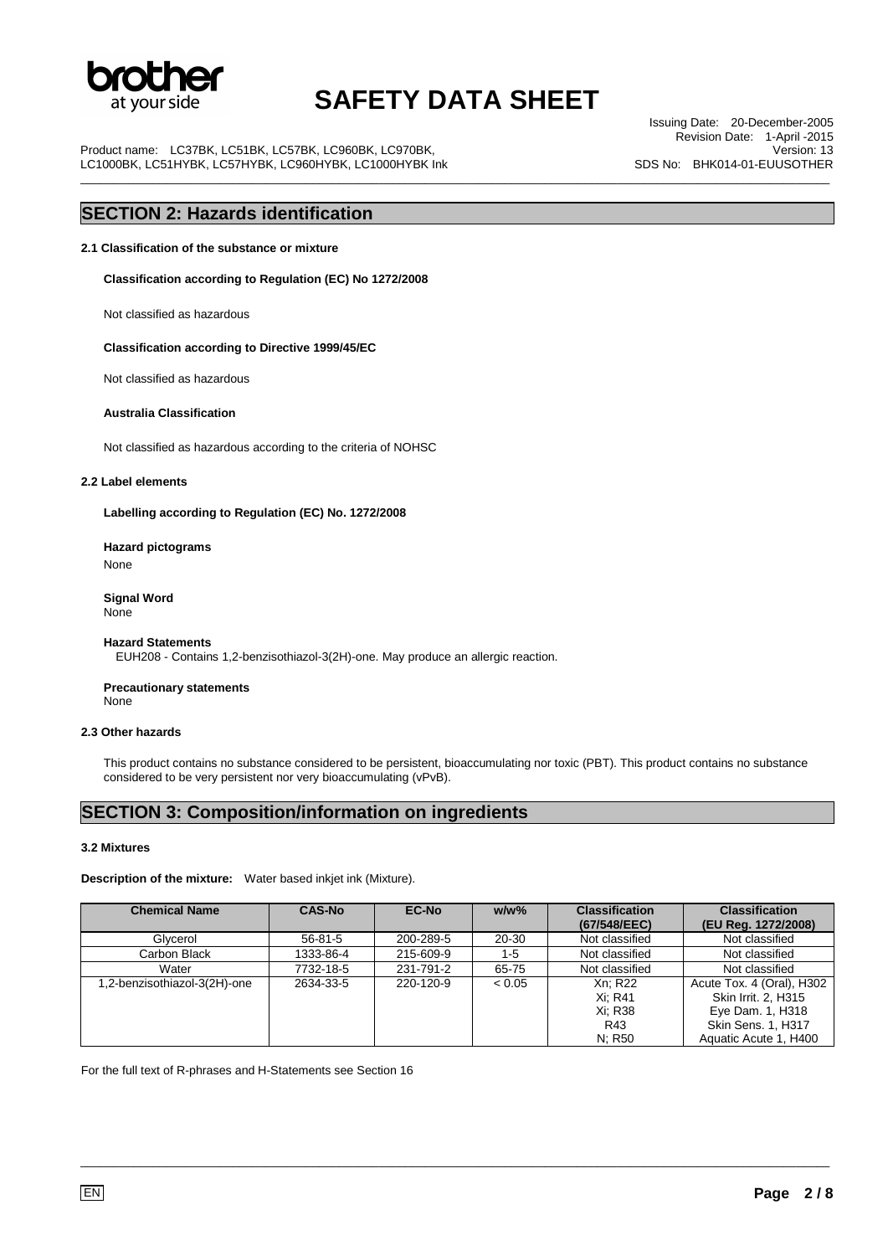

\_\_\_\_\_\_\_\_\_\_\_\_\_\_\_\_\_\_\_\_\_\_\_\_\_\_\_\_\_\_\_\_\_\_\_\_\_\_\_\_\_\_\_\_\_\_\_\_\_\_\_\_\_\_\_\_\_\_\_\_\_\_\_\_\_\_\_\_\_\_\_\_\_\_\_\_\_\_\_\_\_\_\_\_\_\_\_\_\_\_\_\_\_\_\_\_\_\_\_\_\_\_\_\_\_\_\_\_\_\_\_\_\_

Product name: LC37BK, LC51BK, LC57BK, LC960BK, LC970BK, LC1000BK, LC51HYBK, LC57HYBK, LC960HYBK, LC1000HYBK Ink

Issuing Date: 20-December-2005 Revision Date: 1-April -2015 Version: 13 SDS No: BHK014-01-EUUSOTHER

## **SECTION 2: Hazards identification**

**2.1 Classification of the substance or mixture** 

**Classification according to Regulation (EC) No 1272/2008** 

Not classified as hazardous

**Classification according to Directive 1999/45/EC**

Not classified as hazardous

#### **Australia Classification**

Not classified as hazardous according to the criteria of NOHSC

#### **2.2 Label elements**

**Labelling according to Regulation (EC) No. 1272/2008** 

**Hazard pictograms**  None

**Signal Word** None

#### **Hazard Statements**

EUH208 - Contains 1,2-benzisothiazol-3(2H)-one. May produce an allergic reaction.

**Precautionary statements** None

#### **2.3 Other hazards**

This product contains no substance considered to be persistent, bioaccumulating nor toxic (PBT). This product contains no substance considered to be very persistent nor very bioaccumulating (vPvB).

### **SECTION 3: Composition/information on ingredients**

#### **3.2 Mixtures**

**Description of the mixture:** Water based inkjet ink (Mixture).

| <b>Chemical Name</b>         | <b>CAS-No</b> | <b>EC-No</b> | $w/w$ % | <b>Classification</b> | <b>Classification</b>     |
|------------------------------|---------------|--------------|---------|-----------------------|---------------------------|
|                              |               |              |         | (67/548/EEC)          | (EU Reg. 1272/2008)       |
| Glvcerol                     | $56 - 81 - 5$ | 200-289-5    | 20-30   | Not classified        | Not classified            |
| Carbon Black                 | 1333-86-4     | 215-609-9    | $1 - 5$ | Not classified        | Not classified            |
| Water                        | 7732-18-5     | 231-791-2    | 65-75   | Not classified        | Not classified            |
| 1,2-benzisothiazol-3(2H)-one | 2634-33-5     | 220-120-9    | < 0.05  | Xn: R22               | Acute Tox. 4 (Oral), H302 |
|                              |               |              |         | Xi: R41               | Skin Irrit. 2, H315       |
|                              |               |              |         | Xi: R38               | Eye Dam. 1, H318          |
|                              |               |              |         | R43                   | <b>Skin Sens. 1, H317</b> |
|                              |               |              |         | N: R50                | Aquatic Acute 1, H400     |

\_\_\_\_\_\_\_\_\_\_\_\_\_\_\_\_\_\_\_\_\_\_\_\_\_\_\_\_\_\_\_\_\_\_\_\_\_\_\_\_\_\_\_\_\_\_\_\_\_\_\_\_\_\_\_\_\_\_\_\_\_\_\_\_\_\_\_\_\_\_\_\_\_\_\_\_\_\_\_\_\_\_\_\_\_\_\_\_\_\_\_\_\_\_\_\_\_\_\_\_\_\_\_\_\_\_\_\_\_\_\_\_\_

For the full text of R-phrases and H-Statements see Section 16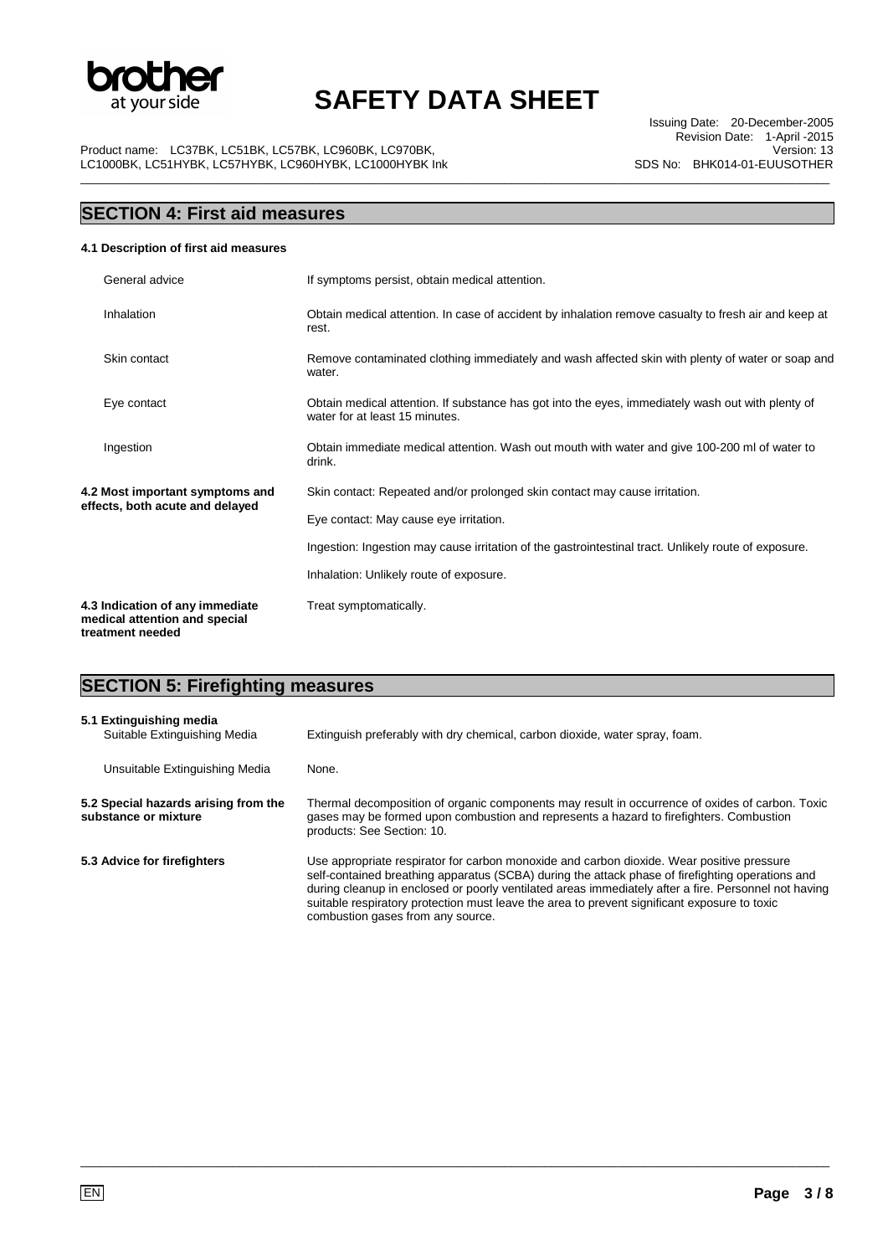

\_\_\_\_\_\_\_\_\_\_\_\_\_\_\_\_\_\_\_\_\_\_\_\_\_\_\_\_\_\_\_\_\_\_\_\_\_\_\_\_\_\_\_\_\_\_\_\_\_\_\_\_\_\_\_\_\_\_\_\_\_\_\_\_\_\_\_\_\_\_\_\_\_\_\_\_\_\_\_\_\_\_\_\_\_\_\_\_\_\_\_\_\_\_\_\_\_\_\_\_\_\_\_\_\_\_\_\_\_\_\_\_\_

Issuing Date: 20-December-2005 Revision Date: 1-April -2015 Version: 13 SDS No: BHK014-01-EUUSOTHER

Product name: LC37BK, LC51BK, LC57BK, LC960BK, LC970BK, LC1000BK, LC51HYBK, LC57HYBK, LC960HYBK, LC1000HYBK Ink

## **SECTION 4: First aid measures**

### **4.1 Description of first aid measures**

|                                                                    | General advice                                                                                       | If symptoms persist, obtain medical attention.                                                                                      |
|--------------------------------------------------------------------|------------------------------------------------------------------------------------------------------|-------------------------------------------------------------------------------------------------------------------------------------|
|                                                                    | Inhalation                                                                                           | Obtain medical attention. In case of accident by inhalation remove casualty to fresh air and keep at<br>rest.                       |
|                                                                    | Skin contact                                                                                         | Remove contaminated clothing immediately and wash affected skin with plenty of water or soap and<br>water.                          |
|                                                                    | Eye contact                                                                                          | Obtain medical attention. If substance has got into the eyes, immediately wash out with plenty of<br>water for at least 15 minutes. |
|                                                                    | Ingestion                                                                                            | Obtain immediate medical attention. Wash out mouth with water and give 100-200 ml of water to<br>drink.                             |
| 4.2 Most important symptoms and<br>effects, both acute and delayed |                                                                                                      | Skin contact: Repeated and/or prolonged skin contact may cause irritation.                                                          |
|                                                                    | Eye contact: May cause eye irritation.                                                               |                                                                                                                                     |
|                                                                    | Ingestion: Ingestion may cause irritation of the gastrointestinal tract. Unlikely route of exposure. |                                                                                                                                     |
|                                                                    |                                                                                                      | Inhalation: Unlikely route of exposure.                                                                                             |
|                                                                    | 4.3 Indication of any immediate<br>medical attention and special<br>treatment needed                 | Treat symptomatically.                                                                                                              |

## **SECTION 5: Firefighting measures**

| 5.1 Extinguishing media<br>Suitable Extinguishing Media      | Extinguish preferably with dry chemical, carbon dioxide, water spray, foam.                                                                                                                                                                                                                                                                                                                                                                |
|--------------------------------------------------------------|--------------------------------------------------------------------------------------------------------------------------------------------------------------------------------------------------------------------------------------------------------------------------------------------------------------------------------------------------------------------------------------------------------------------------------------------|
| Unsuitable Extinguishing Media                               | None.                                                                                                                                                                                                                                                                                                                                                                                                                                      |
| 5.2 Special hazards arising from the<br>substance or mixture | Thermal decomposition of organic components may result in occurrence of oxides of carbon. Toxic<br>gases may be formed upon combustion and represents a hazard to firefighters. Combustion<br>products: See Section: 10.                                                                                                                                                                                                                   |
| 5.3 Advice for firefighters                                  | Use appropriate respirator for carbon monoxide and carbon dioxide. Wear positive pressure<br>self-contained breathing apparatus (SCBA) during the attack phase of firefighting operations and<br>during cleanup in enclosed or poorly ventilated areas immediately after a fire. Personnel not having<br>suitable respiratory protection must leave the area to prevent significant exposure to toxic<br>combustion gases from any source. |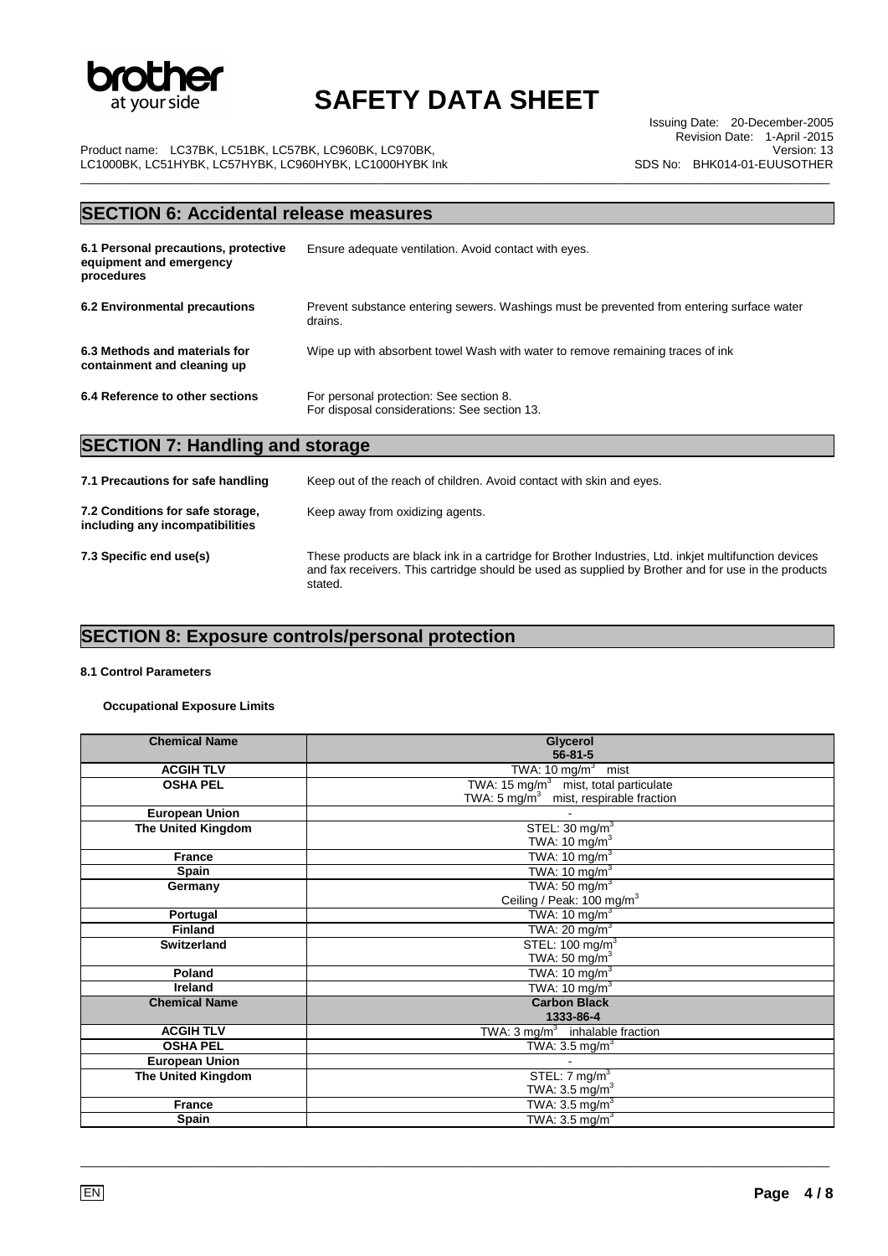

\_\_\_\_\_\_\_\_\_\_\_\_\_\_\_\_\_\_\_\_\_\_\_\_\_\_\_\_\_\_\_\_\_\_\_\_\_\_\_\_\_\_\_\_\_\_\_\_\_\_\_\_\_\_\_\_\_\_\_\_\_\_\_\_\_\_\_\_\_\_\_\_\_\_\_\_\_\_\_\_\_\_\_\_\_\_\_\_\_\_\_\_\_\_\_\_\_\_\_\_\_\_\_\_\_\_\_\_\_\_\_\_\_

Issuing Date: 20-December-2005 Revision Date: 1-April -2015 Version: 13 SDS No: BHK014-01-EUUSOTHER

Product name: LC37BK, LC51BK, LC57BK, LC960BK, LC970BK, LC1000BK, LC51HYBK, LC57HYBK, LC960HYBK, LC1000HYBK Ink

## **SECTION 6: Accidental release measures**

| 6.1 Personal precautions, protective<br>equipment and emergency<br>procedures | Ensure adequate ventilation. Avoid contact with eyes.                                                |
|-------------------------------------------------------------------------------|------------------------------------------------------------------------------------------------------|
| 6.2 Environmental precautions                                                 | Prevent substance entering sewers. Washings must be prevented from entering surface water<br>drains. |
| 6.3 Methods and materials for<br>containment and cleaning up                  | Wipe up with absorbent towel Wash with water to remove remaining traces of ink                       |
| 6.4 Reference to other sections                                               | For personal protection: See section 8.<br>For disposal considerations: See section 13.              |
| <b>SECTION 7: Handling and storage</b>                                        |                                                                                                      |

| 7.1 Precautions for safe handling                                   | Keep out of the reach of children. Avoid contact with skin and eyes.                                                                                                                                                    |
|---------------------------------------------------------------------|-------------------------------------------------------------------------------------------------------------------------------------------------------------------------------------------------------------------------|
| 7.2 Conditions for safe storage,<br>including any incompatibilities | Keep away from oxidizing agents.                                                                                                                                                                                        |
| 7.3 Specific end use(s)                                             | These products are black ink in a cartridge for Brother Industries, Ltd. inkjet multifunction devices<br>and fax receivers. This cartridge should be used as supplied by Brother and for use in the products<br>stated. |

## **SECTION 8: Exposure controls/personal protection**

### **8.1 Control Parameters**

**Occupational Exposure Limits** 

| Glycerol                                          |
|---------------------------------------------------|
| $56 - 81 - 5$                                     |
| TWA: $10 \text{ mg/m}^3$ mist                     |
| TWA: 15 mg/ $m3$ mist, total particulate          |
| TWA: $5 \text{ mg/m}^3$ mist, respirable fraction |
|                                                   |
| STEL: $30 \text{ mg/m}^3$                         |
| TWA: 10 $mg/m3$                                   |
| TWA: $10 \text{ mg/m}^3$                          |
| TWA: $10 \text{ mg/m}^3$                          |
| TWA: $50 \text{ mg/m}^3$                          |
| Ceiling / Peak: 100 mg/m <sup>3</sup>             |
| TWA: 10 mg/m $3$                                  |
| TWA: 20 mg/m <sup>3</sup>                         |
| STEL: 100 mg/m <sup>3</sup>                       |
| TWA: 50 mg/ $m3$                                  |
| TWA: 10 mg/m $3$                                  |
| TWA: $10 \text{ mg/m}^3$                          |
| <b>Carbon Black</b>                               |
| 1333-86-4                                         |
| TWA: $3 \text{ mg/m}^3$ inhalable fraction        |
| TWA: $3.5 \text{ mg/m}^3$                         |
|                                                   |
| STEL: $7 \text{ mg/m}^3$                          |
| TWA: $3.5 \text{ mg/m}^3$                         |
| TWA: $3.5 \text{ mg/m}^3$                         |
| TWA: $3.5 \text{ mg/m}^3$                         |
|                                                   |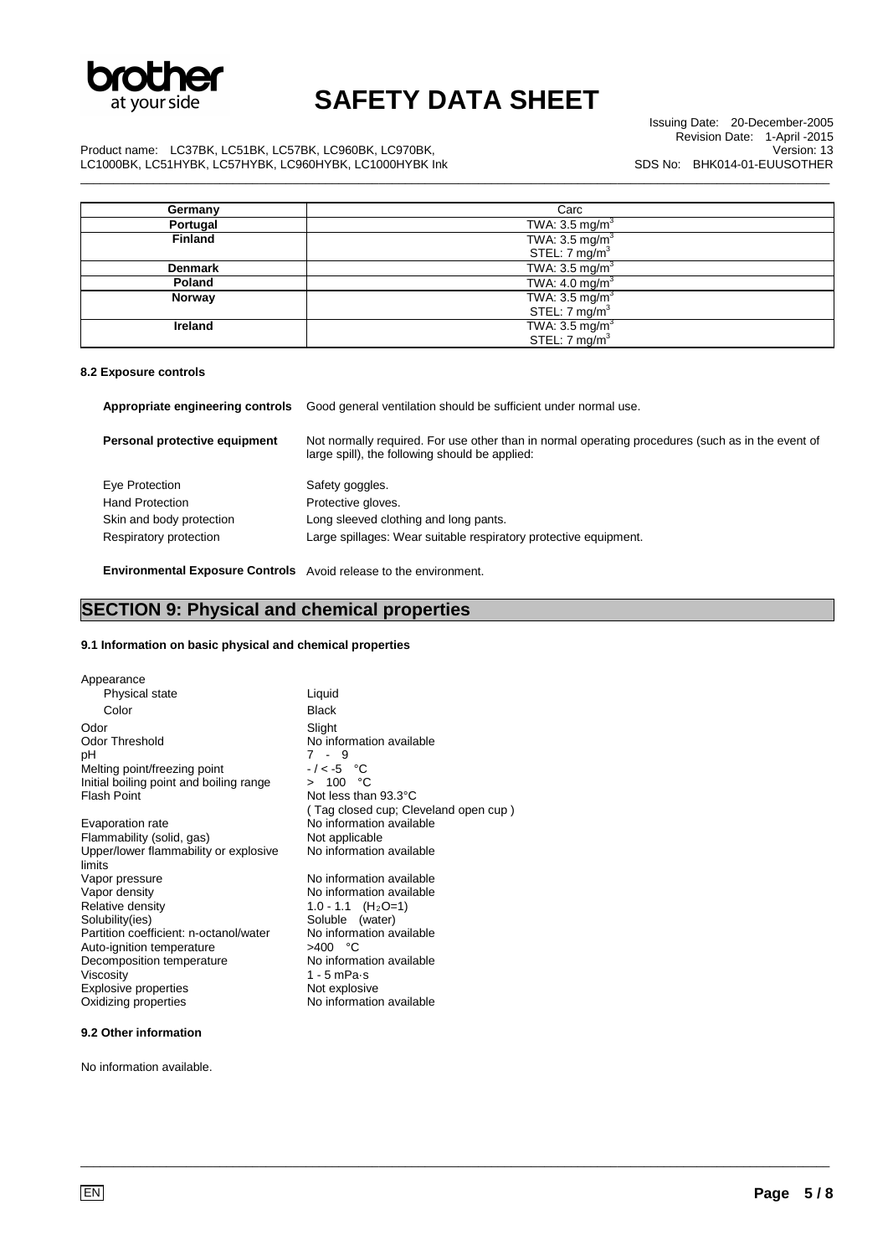

\_\_\_\_\_\_\_\_\_\_\_\_\_\_\_\_\_\_\_\_\_\_\_\_\_\_\_\_\_\_\_\_\_\_\_\_\_\_\_\_\_\_\_\_\_\_\_\_\_\_\_\_\_\_\_\_\_\_\_\_\_\_\_\_\_\_\_\_\_\_\_\_\_\_\_\_\_\_\_\_\_\_\_\_\_\_\_\_\_\_\_\_\_\_\_\_\_\_\_\_\_\_\_\_\_\_\_\_\_\_\_\_\_

Issuing Date: 20-December-2005 Revision Date: 1-April -2015 Version: 13 SDS No: BHK014-01-EUUSOTHER

Product name: LC37BK, LC51BK, LC57BK, LC960BK, LC970BK, LC1000BK, LC51HYBK, LC57HYBK, LC960HYBK, LC1000HYBK Ink

| Germany        | Carc                      |
|----------------|---------------------------|
| Portugal       | TWA: $3.5 \text{ mg/m}^3$ |
| <b>Finland</b> | TWA: $3.5 \text{ mg/m}^3$ |
|                | STEL: $7 \text{ mg/m}^3$  |
| <b>Denmark</b> | TWA: $3.5 \text{ mg/m}^3$ |
| Poland         | TWA: $4.0 \text{ mg/m}^3$ |
| Norway         | TWA: $3.5 \text{ mg/m}^3$ |
|                | STEL: $7 \text{ mg/m}^3$  |
| Ireland        | TWA: $3.5 \text{ mg/m}^3$ |
|                | STEL: 7 mg/m <sup>3</sup> |

#### **8.2 Exposure controls**

| Appropriate engineering controls                                     | Good general ventilation should be sufficient under normal use.                                                                                     |
|----------------------------------------------------------------------|-----------------------------------------------------------------------------------------------------------------------------------------------------|
| Personal protective equipment                                        | Not normally required. For use other than in normal operating procedures (such as in the event of<br>large spill), the following should be applied: |
| Eye Protection<br><b>Hand Protection</b><br>Skin and body protection | Safety goggles.<br>Protective gloves.<br>Long sleeved clothing and long pants.                                                                      |
| Respiratory protection                                               | Large spillages: Wear suitable respiratory protective equipment.                                                                                    |

\_\_\_\_\_\_\_\_\_\_\_\_\_\_\_\_\_\_\_\_\_\_\_\_\_\_\_\_\_\_\_\_\_\_\_\_\_\_\_\_\_\_\_\_\_\_\_\_\_\_\_\_\_\_\_\_\_\_\_\_\_\_\_\_\_\_\_\_\_\_\_\_\_\_\_\_\_\_\_\_\_\_\_\_\_\_\_\_\_\_\_\_\_\_\_\_\_\_\_\_\_\_\_\_\_\_\_\_\_\_\_\_\_

**Environmental Exposure Controls** Avoid release to the environment.

## **SECTION 9: Physical and chemical properties**

### **9.1 Information on basic physical and chemical properties**

| Appearance                                      |                                      |
|-------------------------------------------------|--------------------------------------|
| Physical state                                  | Liquid                               |
| Color                                           | <b>Black</b>                         |
| Odor                                            | Slight                               |
| <b>Odor Threshold</b>                           | No information available             |
| рH                                              | $7 - 9$                              |
| Melting point/freezing point                    | $-/-5$ °C                            |
| Initial boiling point and boiling range         | > 100 °C                             |
| <b>Flash Point</b>                              | Not less than 93.3°C                 |
|                                                 | (Tag closed cup; Cleveland open cup) |
| Evaporation rate                                | No information available             |
| Flammability (solid, gas)                       | Not applicable                       |
| Upper/lower flammability or explosive<br>limits | No information available             |
| Vapor pressure                                  | No information available             |
| Vapor density                                   | No information available             |
| Relative density                                | 1.0 - 1.1 $(H_2O=1)$                 |
| Solubility(ies)                                 | Soluble (water)                      |
| Partition coefficient: n-octanol/water          | No information available             |
| Auto-ignition temperature                       | $>400$ °C                            |
| Decomposition temperature                       | No information available             |
| Viscosity                                       | 1 - 5 mPa $\cdot$ s                  |
| <b>Explosive properties</b>                     | Not explosive                        |
| Oxidizing properties                            | No information available             |
|                                                 |                                      |

### **9.2 Other information**

No information available.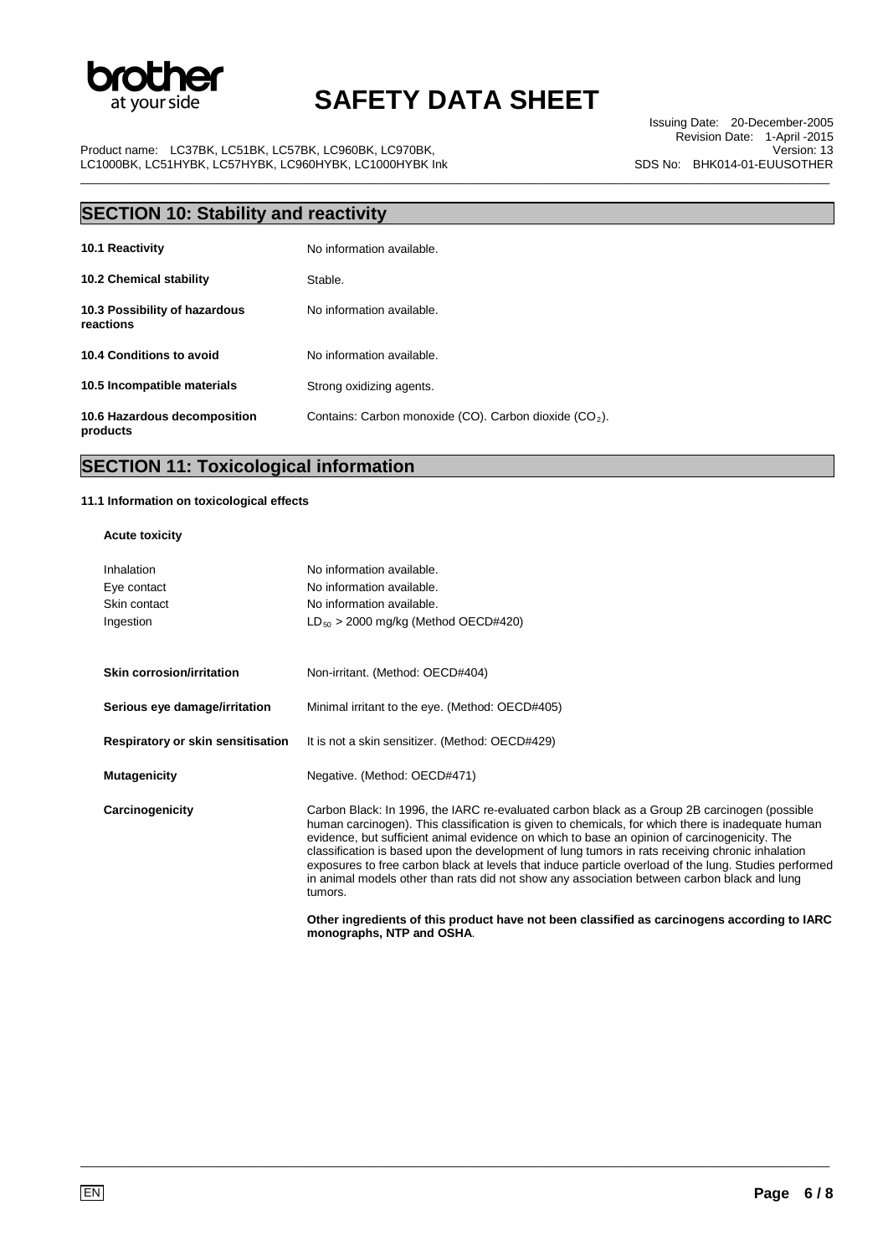

\_\_\_\_\_\_\_\_\_\_\_\_\_\_\_\_\_\_\_\_\_\_\_\_\_\_\_\_\_\_\_\_\_\_\_\_\_\_\_\_\_\_\_\_\_\_\_\_\_\_\_\_\_\_\_\_\_\_\_\_\_\_\_\_\_\_\_\_\_\_\_\_\_\_\_\_\_\_\_\_\_\_\_\_\_\_\_\_\_\_\_\_\_\_\_\_\_\_\_\_\_\_\_\_\_\_\_\_\_\_\_\_\_

Issuing Date: 20-December-2005 Revision Date: 1-April -2015 Version: 13 SDS No: BHK014-01-EUUSOTHER

Product name: LC37BK, LC51BK, LC57BK, LC960BK, LC970BK, LC1000BK, LC51HYBK, LC57HYBK, LC960HYBK, LC1000HYBK Ink

| <b>SECTION 10: Stability and reactivity</b> |                                                                    |  |
|---------------------------------------------|--------------------------------------------------------------------|--|
| 10.1 Reactivity                             | No information available.                                          |  |
| <b>10.2 Chemical stability</b>              | Stable.                                                            |  |
| 10.3 Possibility of hazardous<br>reactions  | No information available.                                          |  |
| 10.4 Conditions to avoid                    | No information available.                                          |  |
| 10.5 Incompatible materials                 | Strong oxidizing agents.                                           |  |
| 10.6 Hazardous decomposition<br>products    | Contains: Carbon monoxide (CO). Carbon dioxide (CO <sub>2</sub> ). |  |

## **SECTION 11: Toxicological information**

#### **11.1 Information on toxicological effects**

### **Acute toxicity**

| Inhalation<br>Eye contact<br>Skin contact<br>Ingestion | No information available.<br>No information available.<br>No information available.<br>$LD_{50}$ > 2000 mg/kg (Method OECD#420)                                                                                                                                                                                                                                                                                                                                                                                                                                                                                          |
|--------------------------------------------------------|--------------------------------------------------------------------------------------------------------------------------------------------------------------------------------------------------------------------------------------------------------------------------------------------------------------------------------------------------------------------------------------------------------------------------------------------------------------------------------------------------------------------------------------------------------------------------------------------------------------------------|
| <b>Skin corrosion/irritation</b>                       | Non-irritant. (Method: OECD#404)                                                                                                                                                                                                                                                                                                                                                                                                                                                                                                                                                                                         |
| Serious eye damage/irritation                          | Minimal irritant to the eye. (Method: OECD#405)                                                                                                                                                                                                                                                                                                                                                                                                                                                                                                                                                                          |
| Respiratory or skin sensitisation                      | It is not a skin sensitizer. (Method: OECD#429)                                                                                                                                                                                                                                                                                                                                                                                                                                                                                                                                                                          |
| <b>Mutagenicity</b>                                    | Negative. (Method: OECD#471)                                                                                                                                                                                                                                                                                                                                                                                                                                                                                                                                                                                             |
| Carcinogenicity                                        | Carbon Black: In 1996, the IARC re-evaluated carbon black as a Group 2B carcinogen (possible<br>human carcinogen). This classification is given to chemicals, for which there is inadequate human<br>evidence, but sufficient animal evidence on which to base an opinion of carcinogenicity. The<br>classification is based upon the development of lung tumors in rats receiving chronic inhalation<br>exposures to free carbon black at levels that induce particle overload of the lung. Studies performed<br>in animal models other than rats did not show any association between carbon black and lung<br>tumors. |
|                                                        | Other ingredients of this product have not been classified as carcinogens according to IARC<br>monographs, NTP and OSHA.                                                                                                                                                                                                                                                                                                                                                                                                                                                                                                 |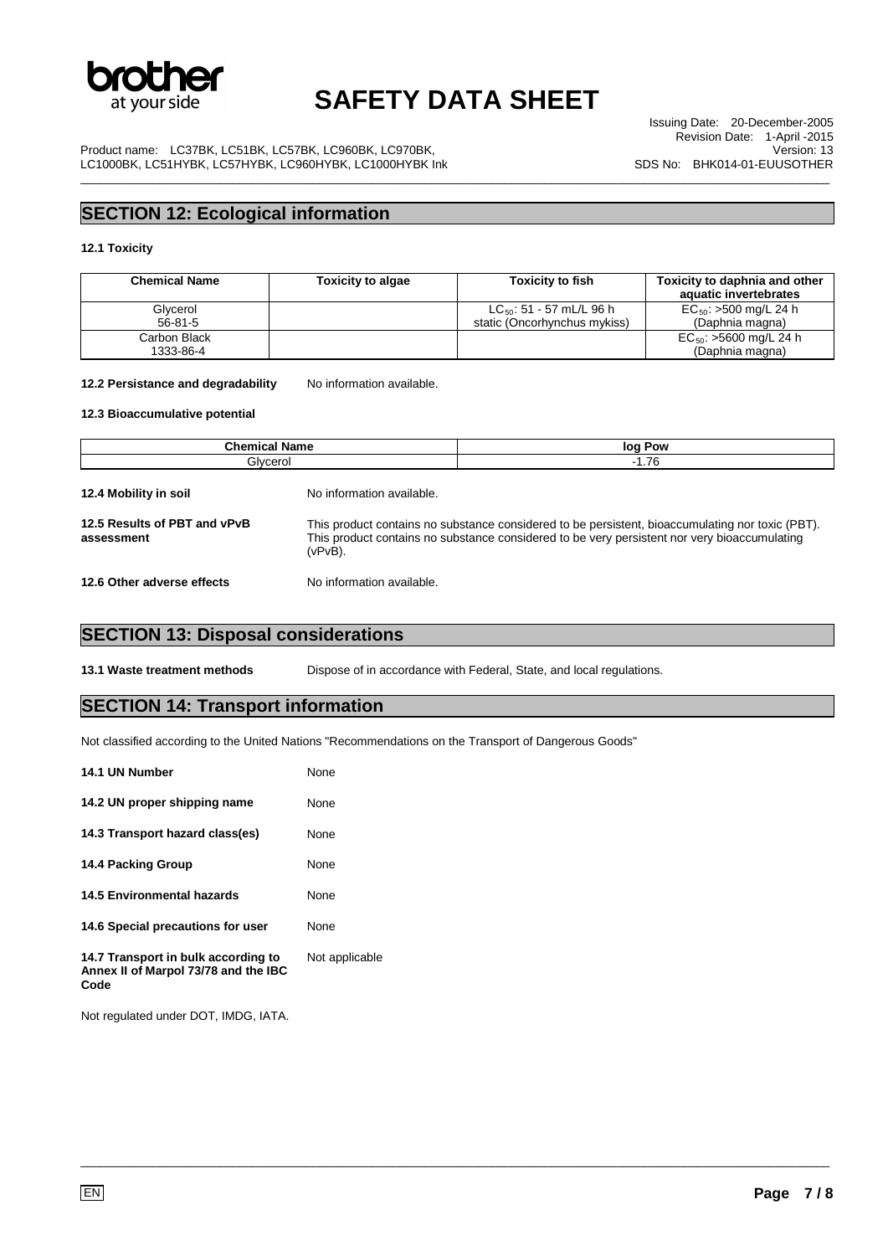

\_\_\_\_\_\_\_\_\_\_\_\_\_\_\_\_\_\_\_\_\_\_\_\_\_\_\_\_\_\_\_\_\_\_\_\_\_\_\_\_\_\_\_\_\_\_\_\_\_\_\_\_\_\_\_\_\_\_\_\_\_\_\_\_\_\_\_\_\_\_\_\_\_\_\_\_\_\_\_\_\_\_\_\_\_\_\_\_\_\_\_\_\_\_\_\_\_\_\_\_\_\_\_\_\_\_\_\_\_\_\_\_\_

Issuing Date: 20-December-2005 Revision Date: 1-April -2015 Version: 13 SDS No: BHK014-01-EUUSOTHER

Product name: LC37BK, LC51BK, LC57BK, LC960BK, LC970BK, LC1000BK, LC51HYBK, LC57HYBK, LC960HYBK, LC1000HYBK Ink

## **SECTION 12: Ecological information**

### **12.1 Toxicity**

| <b>Chemical Name</b>      | <b>Toxicity to algae</b> | <b>Toxicity to fish</b>                                       | Toxicity to daphnia and other<br>aquatic invertebrates |
|---------------------------|--------------------------|---------------------------------------------------------------|--------------------------------------------------------|
| Glycerol<br>$56 - 81 - 5$ |                          | $LC_{50}$ : 51 - 57 mL/L 96 h<br>static (Oncorhynchus mykiss) | $EC_{50}$ : >500 mg/L 24 h<br>(Daphnia magna)          |
| Carbon Black<br>1333-86-4 |                          |                                                               | $EC_{50}$ : >5600 mg/L 24 h<br>(Daphnia magna)         |

#### 12.2 Persistance and degradability No information available.

#### **12.3 Bioaccumulative potential**

| <b>Chemical Name</b><br>Glycerol           |                                                                                                                                                                                                                | log Pow |  |
|--------------------------------------------|----------------------------------------------------------------------------------------------------------------------------------------------------------------------------------------------------------------|---------|--|
|                                            |                                                                                                                                                                                                                | $-1.76$ |  |
| 12.4 Mobility in soil                      | No information available.                                                                                                                                                                                      |         |  |
| 12.5 Results of PBT and vPvB<br>assessment | This product contains no substance considered to be persistent, bioaccumulating nor toxic (PBT).<br>This product contains no substance considered to be very persistent nor very bioaccumulating<br>$(vPvB)$ . |         |  |
| 12.6 Other adverse effects                 | No information available.                                                                                                                                                                                      |         |  |

\_\_\_\_\_\_\_\_\_\_\_\_\_\_\_\_\_\_\_\_\_\_\_\_\_\_\_\_\_\_\_\_\_\_\_\_\_\_\_\_\_\_\_\_\_\_\_\_\_\_\_\_\_\_\_\_\_\_\_\_\_\_\_\_\_\_\_\_\_\_\_\_\_\_\_\_\_\_\_\_\_\_\_\_\_\_\_\_\_\_\_\_\_\_\_\_\_\_\_\_\_\_\_\_\_\_\_\_\_\_\_\_\_

### **SECTION 13: Disposal considerations**

**13.1 Waste treatment methods** Dispose of in accordance with Federal, State, and local regulations.

### **SECTION 14: Transport information**

Not classified according to the United Nations "Recommendations on the Transport of Dangerous Goods"

| 14.1 UN Number                                                                      | None           |
|-------------------------------------------------------------------------------------|----------------|
| 14.2 UN proper shipping name                                                        | None           |
| 14.3 Transport hazard class(es)                                                     | None           |
| 14.4 Packing Group                                                                  | None           |
| <b>14.5 Environmental hazards</b>                                                   | None           |
| 14.6 Special precautions for user                                                   | None           |
| 14.7 Transport in bulk according to<br>Annex II of Marpol 73/78 and the IBC<br>Code | Not applicable |

Not regulated under DOT, IMDG, IATA.